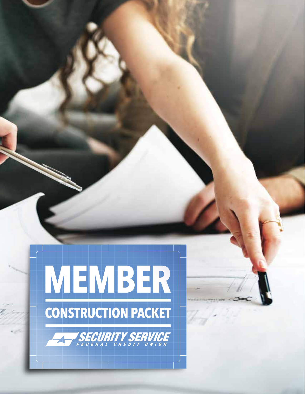

**RITY SER**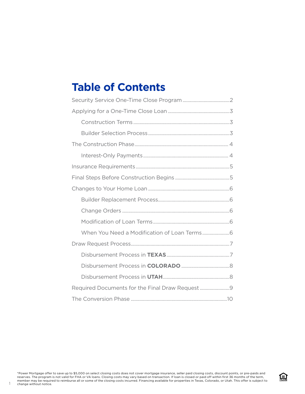## **Table of Contents**

1

盒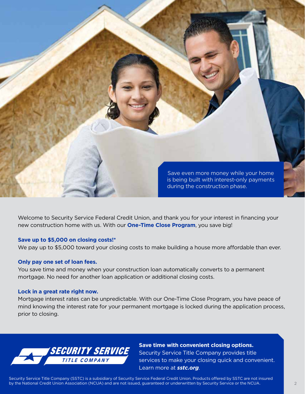

Welcome to Security Service Federal Credit Union, and thank you for your interest in financing your new construction home with us. With our **One-Time Close Program**, you save big!

#### **Save up to \$5,000 on closing costs!\***

We pay up to \$5,000 toward your closing costs to make building a house more affordable than ever.

#### **Only pay one set of loan fees.**

You save time and money when your construction loan automatically converts to a permanent mortgage. No need for another loan application or additional closing costs.

#### **Lock in a great rate right now.**

Mortgage interest rates can be unpredictable. With our One-Time Close Program, you have peace of mind knowing the interest rate for your permanent mortgage is locked during the application process, prior to closing.



**Save time with convenient closing options.** Security Service Title Company provides title services to make your closing quick and convenient. Learn more at *sstc.org*.

Security Service Title Company (SSTC) is a subsidiary of Security Service Federal Credit Union. Products offered by SSTC are not insured by the National Credit Union Association (NCUA) and are not issued, guaranteed or underwritten by Security Service or the NCUA.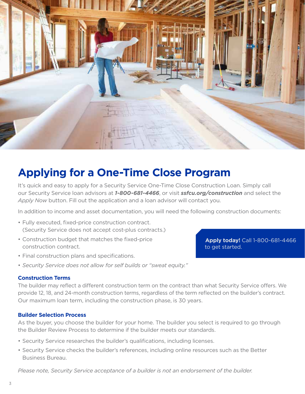

# **Applying for a One-Time Close Program**

It's quick and easy to apply for a Security Service One-Time Close Construction Loan. Simply call our Security Service loan advisors at *1-800-681-4466*, or visit *ssfcu.org/construction* and select the *Apply Now* button. Fill out the application and a loan advisor will contact you.

In addition to income and asset documentation, you will need the following construction documents:

- Fully executed, fixed-price construction contract. (Security Service does not accept cost-plus contracts.)
- Construction budget that matches the fixed-price construction contract.
- Final construction plans and specifications.
- *Security Service does not allow for self builds or "sweat equity."*

#### **Apply today!** Call 1-800-681-4466 to get started.

#### **Construction Terms**

The builder may reflect a different construction term on the contract than what Security Service offers. We provide 12, 18, and 24-month construction terms, regardless of the term reflected on the builder's contract. Our maximum loan term, including the construction phase, is 30 years.

#### **Builder Selection Process**

As the buyer, you choose the builder for your home. The builder you select is required to go through the Builder Review Process to determine if the builder meets our standards.

- Security Service researches the builder's qualifications, including licenses.
- Security Service checks the builder's references, including online resources such as the Better Business Bureau.

*Please note, Security Service acceptance of a builder is not an endorsement of the builder.*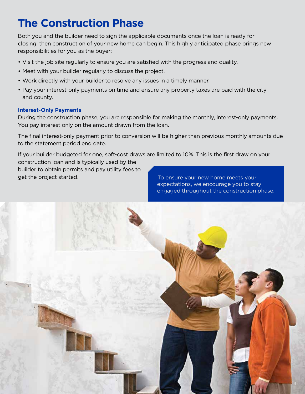# **The Construction Phase**

Both you and the builder need to sign the applicable documents once the loan is ready for closing, then construction of your new home can begin. This highly anticipated phase brings new responsibilities for you as the buyer:

- Visit the job site regularly to ensure you are satisfied with the progress and quality.
- Meet with your builder regularly to discuss the project.
- Work directly with your builder to resolve any issues in a timely manner.
- Pay your interest-only payments on time and ensure any property taxes are paid with the city and county.

#### **Interest-Only Payments**

During the construction phase, you are responsible for making the monthly, interest-only payments. You pay interest only on the amount drawn from the loan.

The final interest-only payment prior to conversion will be higher than previous monthly amounts due to the statement period end date.

If your builder budgeted for one, soft-cost draws are limited to 10%. This is the first draw on your construction loan and is typically used by the

builder to obtain permits and pay utility fees to get the project started. The state of the project started.

expectations, we encourage you to stay engaged throughout the construction phase.

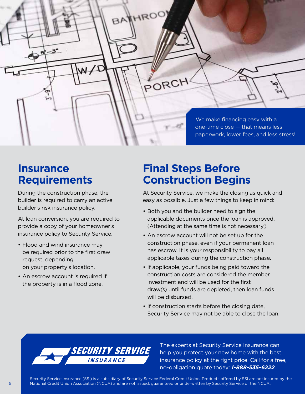We make financing easy with a one-time close — that means less paperwork, lower fees, and less stress!

### **Insurance Requirements**

 $5 - 3$ 

During the construction phase, the builder is required to carry an active builder's risk insurance policy.

At loan conversion, you are required to provide a copy of your homeowner's insurance policy to Security Service.

- Flood and wind insurance may be required prior to the first draw request, depending on your property's location.
- An escrow account is required if the property is in a flood zone.

## **Final Steps Before Construction Begins**

HROO'

PORCH

BA

At Security Service, we make the closing as quick and easy as possible. Just a few things to keep in mind:

- Both you and the builder need to sign the applicable documents once the loan is approved. (Attending at the same time is not necessary.)
- An escrow account will not be set up for the construction phase, even if your permanent loan has escrow. It is your responsibility to pay all applicable taxes during the construction phase.
- If applicable, your funds being paid toward the construction costs are considered the member investment and will be used for the first draw(s) until funds are depleted, then loan funds will be disbursed.
- If construction starts before the closing date, Security Service may not be able to close the loan.



The experts at Security Service Insurance can help you protect your new home with the best insurance policy at the right price. Call for a free, no-obligation quote today: *1-888-535-6222*.

Security Service Insurance (SSI) is a subsidiary of Security Service Federal Credit Union. Products offered by SSI are not insured by the National Credit Union Association (NCUA) and are not issued, guaranteed or underwritten by Security Service or the NCUA.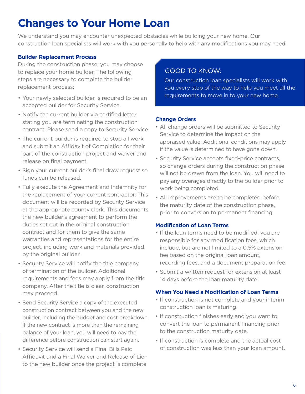# **Changes to Your Home Loan**

We understand you may encounter unexpected obstacles while building your new home. Our construction loan specialists will work with you personally to help with any modifications you may need.

### **Builder Replacement Process**

During the construction phase, you may choose to replace your home builder. The following steps are necessary to complete the builder replacement process:

- Your newly selected builder is required to be an accepted builder for Security Service.
- Notify the current builder via certified letter stating you are terminating the construction contract. Please send a copy to Security Service.
- The current builder is required to stop all work and submit an Affidavit of Completion for their part of the construction project and waiver and release on final payment.
- Sign your current builder's final draw request so funds can be released.
- Fully execute the Agreement and Indemnity for the replacement of your current contractor. This document will be recorded by Security Service at the appropriate county clerk. This documents the new builder's agreement to perform the duties set out in the original construction contract and for them to give the same warranties and representations for the entire project, including work and materials provided by the original builder.
- Security Service will notify the title company of termination of the builder. Additional requirements and fees may apply from the title company. After the title is clear, construction may proceed.
- Send Security Service a copy of the executed construction contract between you and the new builder, including the budget and cost breakdown. If the new contract is more than the remaining balance of your loan, you will need to pay the difference before construction can start again.
- Security Service will send a Final Bills Paid Affidavit and a Final Waiver and Release of Lien to the new builder once the project is complete.

### GOOD TO KNOW:

Our construction loan specialists will work with you every step of the way to help you meet all the requirements to move in to your new home.

#### **Change Orders**

- All change orders will be submitted to Security Service to determine the impact on the appraised value. Additional conditions may apply if the value is determined to have gone down.
- Security Service accepts fixed-price contracts, so change orders during the construction phase will not be drawn from the loan. You will need to pay any overages directly to the builder prior to work being completed.
- All improvements are to be completed before the maturity date of the construction phase, prior to conversion to permanent financing.

#### **Modification of Loan Terms**

- If the loan terms need to be modified, you are responsible for any modification fees, which include, but are not limited to a 0.5% extension fee based on the original loan amount. recording fees, and a document preparation fee.
- Submit a written request for extension at least 14 days before the loan maturity date.

#### **When You Need a Modification of Loan Terms**

- If construction is not complete and your interim construction loan is maturing.
- If construction finishes early and you want to convert the loan to permanent financing prior to the construction maturity date.
- If construction is complete and the actual cost of construction was less than your loan amount.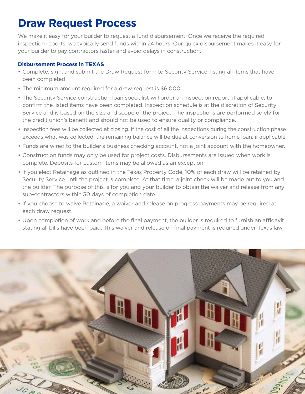# **Draw Request Process**

We make it easy for your builder to request a fund disbursement. Once we receive the required inspection reports, we typically send funds within 24 hours. Our quick disbursement makes it easy for your builder to pay contractors faster and avoid delays in construction.

### **Disbursement Process in TEXAS**

- Complete, sign, and submit the Draw Request form to Security Service, listing all items that have been completed.
- The minimum amount required for a draw request is \$6,000.
- The Security Service construction loan specialist will order an inspection report, if applicable, to confirm the listed items have been completed. Inspection schedule is at the discretion of Security Service and is based on the size and scope of the project. The inspections are performed solely for the credit union's benefit and should not be used to ensure quality or compliance.
- Inspection fees will be collected at closing. If the cost of all the inspections during the construction phase exceeds what was collected, the remaining balance will be due at conversion to home loan, if applicable.
- Funds are wired to the builder's business checking account, not a joint account with the homeowner.
- Construction funds may only be used for project costs. Disbursements are issued when work is complete. Deposits for custom items may be allowed as an exception.
- If you elect Retainage as outlined in the Texas Property Code, 10% of each draw will be retained by Security Service until the project is complete. At that time, a joint check will be made out to you and the builder. The purpose of this is for you and your builder to obtain the waiver and release from any sub-contractors within 30 days of completion date.
- If you choose to waive Retainage, a waiver and release on progress payments may be required at each draw request.
- Upon completion of work and before the final payment, the builder is required to furnish an affidavit stating all bills have been paid. This waiver and release on final payment is required under Texas law.

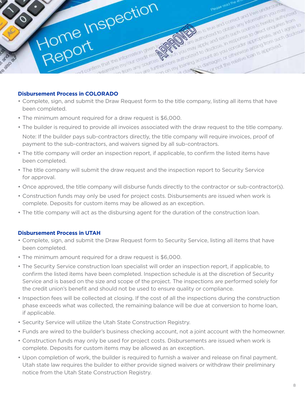

#### **Disbursement Process in COLORADO**

- Complete, sign, and submit the Draw Request form to the title company, listing all items that have been completed.
- The minimum amount required for a draw request is \$6,000.
- The builder is required to provide all invoices associated with the draw request to the title company.

Note: If the builder pays sub-contractors directly, the title company will require invoices, proof of payment to the sub-contractors, and waivers signed by all sub-contractors.

- The title company will order an inspection report, if applicable, to confirm the listed items have been completed.
- The title company will submit the draw request and the inspection report to Security Service for approval.
- Once approved, the title company will disburse funds directly to the contractor or sub-contractor(s).
- Construction funds may only be used for project costs. Disbursements are issued when work is complete. Deposits for custom items may be allowed as an exception.
- The title company will act as the disbursing agent for the duration of the construction loan.

#### **Disbursement Process in UTAH**

- Complete, sign, and submit the Draw Request form to Security Service, listing all items that have been completed.
- The minimum amount required for a draw request is \$6,000.
- The Security Service construction loan specialist will order an inspection report, if applicable, to confirm the listed items have been completed. Inspection schedule is at the discretion of Security Service and is based on the size and scope of the project. The inspections are performed solely for the credit union's benefit and should not be used to ensure quality or compliance.
- Inspection fees will be collected at closing. If the cost of all the inspections during the construction phase exceeds what was collected, the remaining balance will be due at conversion to home loan, if applicable.
- Security Service will utilize the Utah State Construction Registry.
- Funds are wired to the builder's business checking account, not a joint account with the homeowner.
- Construction funds may only be used for project costs. Disbursements are issued when work is complete. Deposits for custom items may be allowed as an exception.
- Upon completion of work, the builder is required to furnish a waiver and release on final payment. Utah state law requires the builder to either provide signed waivers or withdraw their preliminary notice from the Utah State Construction Registry.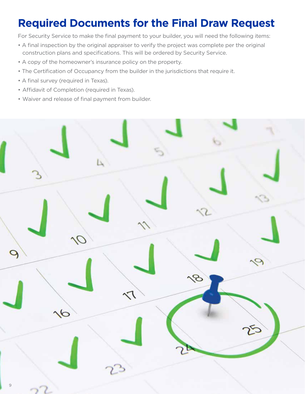# **Required Documents for the Final Draw Request**

For Security Service to make the final payment to your builder, you will need the following items:

- A final inspection by the original appraiser to verify the project was complete per the original construction plans and specifications. This will be ordered by Security Service.
- A copy of the homeowner's insurance policy on the property.
- The Certification of Occupancy from the builder in the jurisdictions that require it.
- A final survey (required in Texas).
- Affidavit of Completion (required in Texas).
- Waiver and release of final payment from builder.



 $\sim$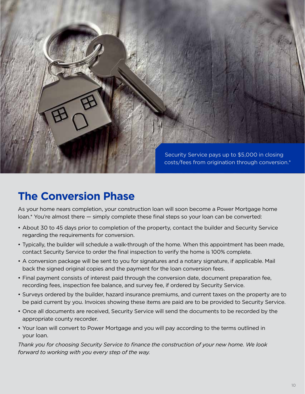

## **The Conversion Phase**

As your home nears completion, your construction loan will soon become a Power Mortgage home loan.\* You're almost there — simply complete these final steps so your loan can be converted:

- About 30 to 45 days prior to completion of the property, contact the builder and Security Service regarding the requirements for conversion.
- Typically, the builder will schedule a walk-through of the home. When this appointment has been made, contact Security Service to order the final inspection to verify the home is 100% complete.
- A conversion package will be sent to you for signatures and a notary signature, if applicable. Mail back the signed original copies and the payment for the loan conversion fees.
- Final payment consists of interest paid through the conversion date, document preparation fee, recording fees, inspection fee balance, and survey fee, if ordered by Security Service.
- Surveys ordered by the builder, hazard insurance premiums, and current taxes on the property are to be paid current by you. Invoices showing these items are paid are to be provided to Security Service.
- Once all documents are received, Security Service will send the documents to be recorded by the appropriate county recorder.
- Your loan will convert to Power Mortgage and you will pay according to the terms outlined in your loan.

*Thank you for choosing Security Service to finance the construction of your new home. We look forward to working with you every step of the way.*